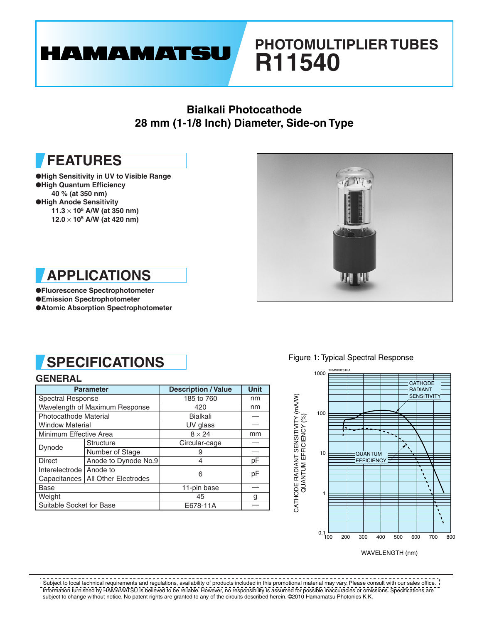

# **PHOTOMULTIPLIER TUBES R11540**

### **Bialkali Photocathode 28 mm (1-1/8 Inch) Diameter, Side-on Type**

### **FEATURES**

●**High Sensitivity in UV to Visible Range** ●**High Quantum Efficiency 40 % (at 350 nm)** ●**High Anode Sensitivity 11.3** × **105 A/W (at 350 nm) 12.0** × **105 A/W (at 420 nm)**





●**Fluorescence Spectrophotometer** ●**Emission Spectrophotometer** ●**Atomic Absorption Spectrophotometer**

## **SPECIFICATIONS**

#### **GENERAL**

|                                | <b>Parameter</b>                    | <b>Description / Value</b> | <b>Unit</b> |
|--------------------------------|-------------------------------------|----------------------------|-------------|
| <b>Spectral Response</b>       |                                     | 185 to 760                 | nm          |
| Wavelength of Maximum Response |                                     | 420                        | nm          |
| Photocathode Material          |                                     | Bialkali                   |             |
| <b>Window Material</b>         |                                     | UV glass                   |             |
| Minimum Effective Area         |                                     | $8 \times 24$              | mm          |
| Dynode                         | <b>Structure</b>                    | Circular-cage              |             |
|                                | Number of Stage                     | 9                          |             |
| <b>Direct</b>                  | Anode to Dynode No.9                | 4                          | pF          |
| Interelectrode   Anode to      |                                     | 6                          | pF          |
|                                | Capacitances   All Other Electrodes |                            |             |
| Base                           |                                     | 11-pin base                |             |
| Weight                         |                                     | 45                         | g           |
| Suitable Socket for Base       |                                     | E678-11A                   |             |

Figure 1: Typical Spectral Response



 $\frac{1}{2} \frac{1}{2} \frac{1}{2} \frac{1}{2} \frac{1}{2} \frac{1}{2} \frac{1}{2} \frac{1}{2} \frac{1}{2} \frac{1}{2} \frac{1}{2} \frac{1}{2} \frac{1}{2} \frac{1}{2} \frac{1}{2} \frac{1}{2} \frac{1}{2} \frac{1}{2} \frac{1}{2} \frac{1}{2} \frac{1}{2} \frac{1}{2} \frac{1}{2} \frac{1}{2} \frac{1}{2} \frac{1}{2} \frac{1}{2} \frac{1}{2} \frac{1}{2} \frac{1}{2} \frac{1}{2} \frac{$ \_\_\_\_\_\_\_\_\_\_\_\_ Subject to local technical requirements and regulations, availability of products included in this promotional material may vary. Please consult with our sales office. Information furnished by HAMAMATSU is believed to be reliable. However, no responsibility is assumed for possible inaccuracies or omissions. Specifications are subject to change without notice. No patent rights are granted to any of the circuits described herein. ©2010 Hamamatsu Photonics K.K.